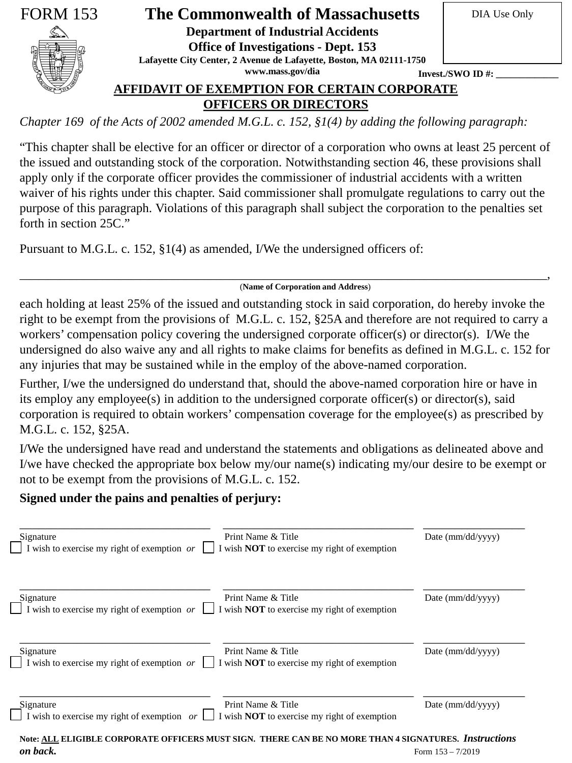

# FORM 153 **The Commonwealth of Massachusetts** In DIA Use Only

**Department of Industrial Accidents**

**Office of Investigations - Dept. 153** 

**Lafayette City Center, 2 Avenue de Lafayette, Boston, MA 02111-1750**

**www.mass.gov/dia**

**Invest./SWO ID#:** 

**AFFIDAVIT OF EXEMPTION FOR CERTAIN CORPORATE OFFICERS OR DIRECTORS**

*Chapter 169 of the Acts of 2002 amended M.G.L. c. 152, §1(4) by adding the following paragraph:* 

"This chapter shall be elective for an officer or director of a corporation who owns at least 25 percent of the issued and outstanding stock of the corporation. Notwithstanding section 46, these provisions shall apply only if the corporate officer provides the commissioner of industrial accidents with a written waiver of his rights under this chapter. Said commissioner shall promulgate regulations to carry out the purpose of this paragraph. Violations of this paragraph shall subject the corporation to the penalties set forth in section 25C."

Pursuant to M.G.L. c. 152, §1(4) as amended, I/We the undersigned officers of:

### \_\_\_\_\_\_\_\_\_\_\_\_\_\_\_\_\_\_\_\_\_\_\_\_\_\_\_\_\_\_\_\_\_\_\_\_\_\_\_\_\_\_\_\_\_\_\_\_\_\_\_\_\_\_\_\_\_\_\_\_\_\_\_\_\_\_\_\_\_\_\_\_\_\_\_\_\_\_\_\_\_\_\_, (**Name of Corporation and Address**)

each holding at least 25% of the issued and outstanding stock in said corporation, do hereby invoke the right to be exempt from the provisions of M.G.L. c. 152, §25A and therefore are not required to carry a workers' compensation policy covering the undersigned corporate officer(s) or director(s). I/We the undersigned do also waive any and all rights to make claims for benefits as defined in M.G.L. c. 152 for any injuries that may be sustained while in the employ of the above-named corporation.

Further, I/we the undersigned do understand that, should the above-named corporation hire or have in its employ any employee(s) in addition to the undersigned corporate officer(s) or director(s), said corporation is required to obtain workers' compensation coverage for the employee(s) as prescribed by M.G.L. c. 152, §25A.

I/We the undersigned have read and understand the statements and obligations as delineated above and I/we have checked the appropriate box below my/our name(s) indicating my/our desire to be exempt or not to be exempt from the provisions of M.G.L. c. 152.

## **Signed under the pains and penalties of perjury:**

| Print Name & Title<br>Signature<br>I wish to exercise my right of exemption $or$<br>I wish <b>NOT</b> to exercise my right of exemption       | Date $\text{(mm/dd/yyyy)}$ |
|-----------------------------------------------------------------------------------------------------------------------------------------------|----------------------------|
| Print Name & Title<br>Signature<br>I wish to exercise my right of exemption $or$<br>I wish <b>NOT</b> to exercise my right of exemption       | Date $\text{(mm/dd/yyyy)}$ |
| Print Name & Title<br>Signature<br>$\prod$ I wish to exercise my right of exemption or<br>I wish <b>NOT</b> to exercise my right of exemption | Date $\text{(mm/dd/yyy)}$  |
| Print Name & Title<br>Signature<br>I wish to exercise my right of exemption $or$<br>I wish <b>NOT</b> to exercise my right of exemption       | Date $\text{(mm/dd/yyy)}$  |
| Note: ALL ELIGIBLE CORPORATE OFFICERS MUST SIGN. THERE CAN BE NO MORE THAN 4 SIGNATURES. Instructions<br>on back.                             | Form $153 - 7/2019$        |